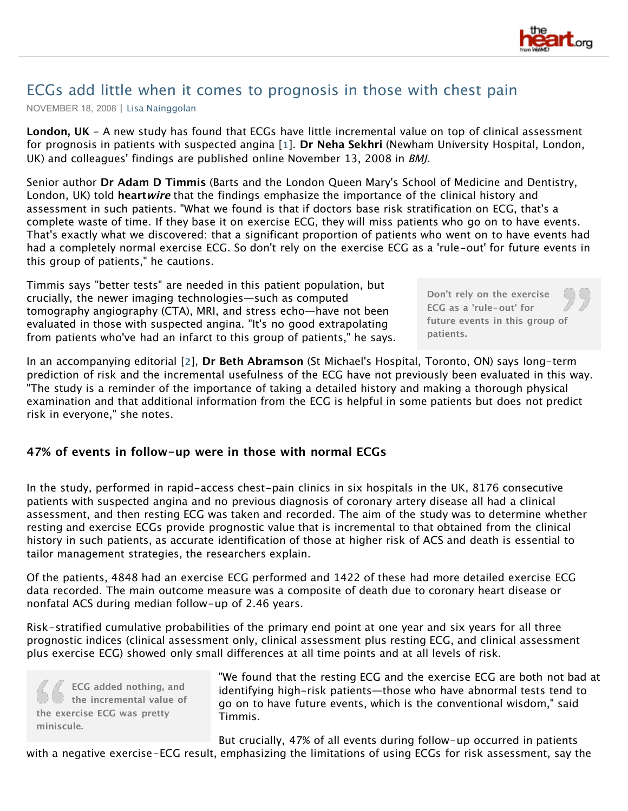

# ECGs add little when it comes to prognosis in those with chest pain

NOVEMBER 18, 2008 | [Lisa Nainggolan](http://www.theheart.org/viewAuthorBio.do?primaryKey=121557)

**London, UK** - A new study has found that ECGs have little incremental value on top of clinical assessment for prognosis in patients with suspected angina [**[1](http://www.theheart.org/article/921855.do#bib_1)**]. **Dr Neha Sekhri** (Newham University Hospital, London, UK) and colleagues' findings are published online November 13, 2008 in BMJ.

Senior author **Dr Adam D Timmis** (Barts and the London Queen Mary's School of Medicine and Dentistry, London, UK) told **heartwire** that the findings emphasize the importance of the clinical history and assessment in such patients. "What we found is that if doctors base risk stratification on ECG, that's a complete waste of time. If they base it on exercise ECG, they will miss patients who go on to have events. That's exactly what we discovered: that a significant proportion of patients who went on to have events had had a completely normal exercise ECG. So don't rely on the exercise ECG as a 'rule-out' for future events in this group of patients," he cautions.

Timmis says "better tests" are needed in this patient population, but crucially, the newer imaging technologies—such as computed tomography angiography (CTA), MRI, and stress echo—have not been evaluated in those with suspected angina. "It's no good extrapolating from patients who've had an infarct to this group of patients," he says.

In an accompanying editorial [**[2](http://www.theheart.org/article/921855.do#bib_2)**], **Dr Beth Abramson** (St Michael's Hospital, Toronto, ON) says long-term prediction of risk and the incremental usefulness of the ECG have not previously been evaluated in this way. "The study is a reminder of the importance of taking a detailed history and making a thorough physical examination and that additional information from the ECG is helpful in some patients but does not predict risk in everyone," she notes.

## **47% of events in follow-up were in those with normal ECGs**

In the study, performed in rapid-access chest-pain clinics in six hospitals in the UK, 8176 consecutive patients with suspected angina and no previous diagnosis of coronary artery disease all had a clinical assessment, and then resting ECG was taken and recorded. The aim of the study was to determine whether resting and exercise ECGs provide prognostic value that is incremental to that obtained from the clinical history in such patients, as accurate identification of those at higher risk of ACS and death is essential to tailor management strategies, the researchers explain.

Of the patients, 4848 had an exercise ECG performed and 1422 of these had more detailed exercise ECG data recorded. The main outcome measure was a composite of death due to coronary heart disease or nonfatal ACS during median follow-up of 2.46 years.

Risk-stratified cumulative probabilities of the primary end point at one year and six years for all three prognostic indices (clinical assessment only, clinical assessment plus resting ECG, and clinical assessment plus exercise ECG) showed only small differences at all time points and at all levels of risk.

**ECG added nothing, and the incremental value of the exercise ECG was pretty miniscule.**

"We found that the resting ECG and the exercise ECG are both not bad at identifying high-risk patients—those who have abnormal tests tend to go on to have future events, which is the conventional wisdom," said Timmis.

But crucially, 47% of all events during follow-up occurred in patients with a negative exercise-ECG result, emphasizing the limitations of using ECGs for risk assessment, say the

**Don't rely on the exercise ECG as a 'rule-out' for future events in this group of patients.**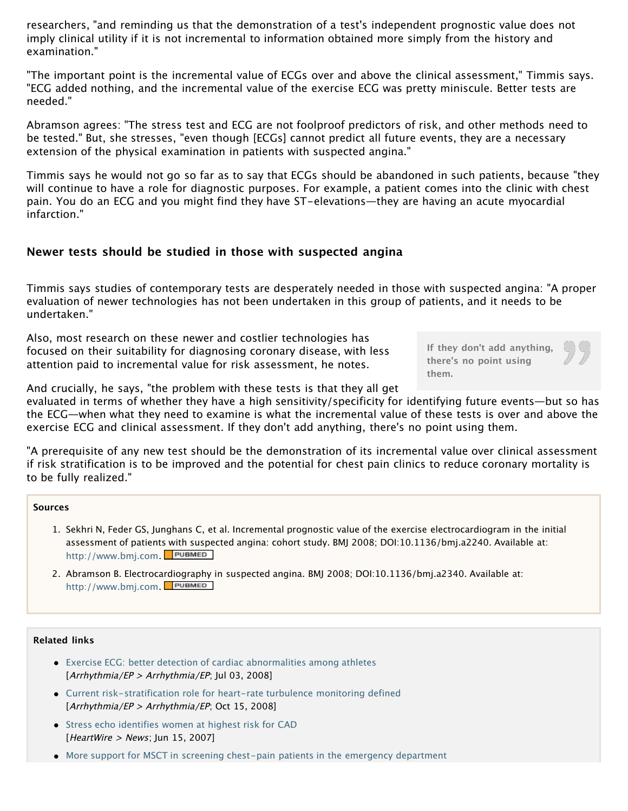researchers, "and reminding us that the demonstration of a test's independent prognostic value does not imply clinical utility if it is not incremental to information obtained more simply from the history and examination."

"The important point is the incremental value of ECGs over and above the clinical assessment," Timmis says. "ECG added nothing, and the incremental value of the exercise ECG was pretty miniscule. Better tests are needed."

Abramson agrees: "The stress test and ECG are not foolproof predictors of risk, and other methods need to be tested." But, she stresses, "even though [ECGs] cannot predict all future events, they are a necessary extension of the physical examination in patients with suspected angina."

Timmis says he would not go so far as to say that ECGs should be abandoned in such patients, because "they will continue to have a role for diagnostic purposes. For example, a patient comes into the clinic with chest pain. You do an ECG and you might find they have ST-elevations—they are having an acute myocardial infarction."

## **Newer tests should be studied in those with suspected angina**

Timmis says studies of contemporary tests are desperately needed in those with suspected angina: "A proper evaluation of newer technologies has not been undertaken in this group of patients, and it needs to be undertaken."

Also, most research on these newer and costlier technologies has focused on their suitability for diagnosing coronary disease, with less attention paid to incremental value for risk assessment, he notes.

**If they don't add anything, there's no point using them.**

And crucially, he says, "the problem with these tests is that they all get

evaluated in terms of whether they have a high sensitivity/specificity for identifying future events—but so has the ECG—when what they need to examine is what the incremental value of these tests is over and above the exercise ECG and clinical assessment. If they don't add anything, there's no point using them.

"A prerequisite of any new test should be the demonstration of its incremental value over clinical assessment if risk stratification is to be improved and the potential for chest pain clinics to reduce coronary mortality is to be fully realized."

### **Sources**

- 1. Sekhri N, Feder GS, Junghans C, et al. Incremental prognostic value of the exercise electrocardiogram in the initial assessment of patients with suspected angina: cohort study. BMJ 2008; DOI:10.1136/bmj.a2240. Available at: [http://www.bmj.com.](http://www.theheart.org/viewDocument.do?document=http%3A%2F%2Fwww.bmj.com)
- 2. Abramson B. Electrocardiography in suspected angina. BMJ 2008; DOI:10.1136/bmj.a2340. Available at: [http://www.bmj.com.](http://www.theheart.org/viewDocument.do?document=http%3A%2F%2Fwww.bmj.com)

### **Related links**

- [Exercise ECG: better detection of cardiac abnormalities among athletes](http://www.theheart.org/article/880135.do) [Arrhythmia/EP > Arrhythmia/EP; Jul 03, 2008]
- [Current risk-stratification role for heart-rate turbulence monitoring defined](http://www.theheart.org/article/911667.do) [Arrhythmia/EP > Arrhythmia/EP; Oct 15, 2008]
- [Stress echo identifies women at highest risk for CAD](http://www.theheart.org/article/796957.do) [HeartWire > News; Jun 15, 2007]
- [More support for MSCT in screening chest-pain patients in the emergency department](http://www.theheart.org/article/777451.do)